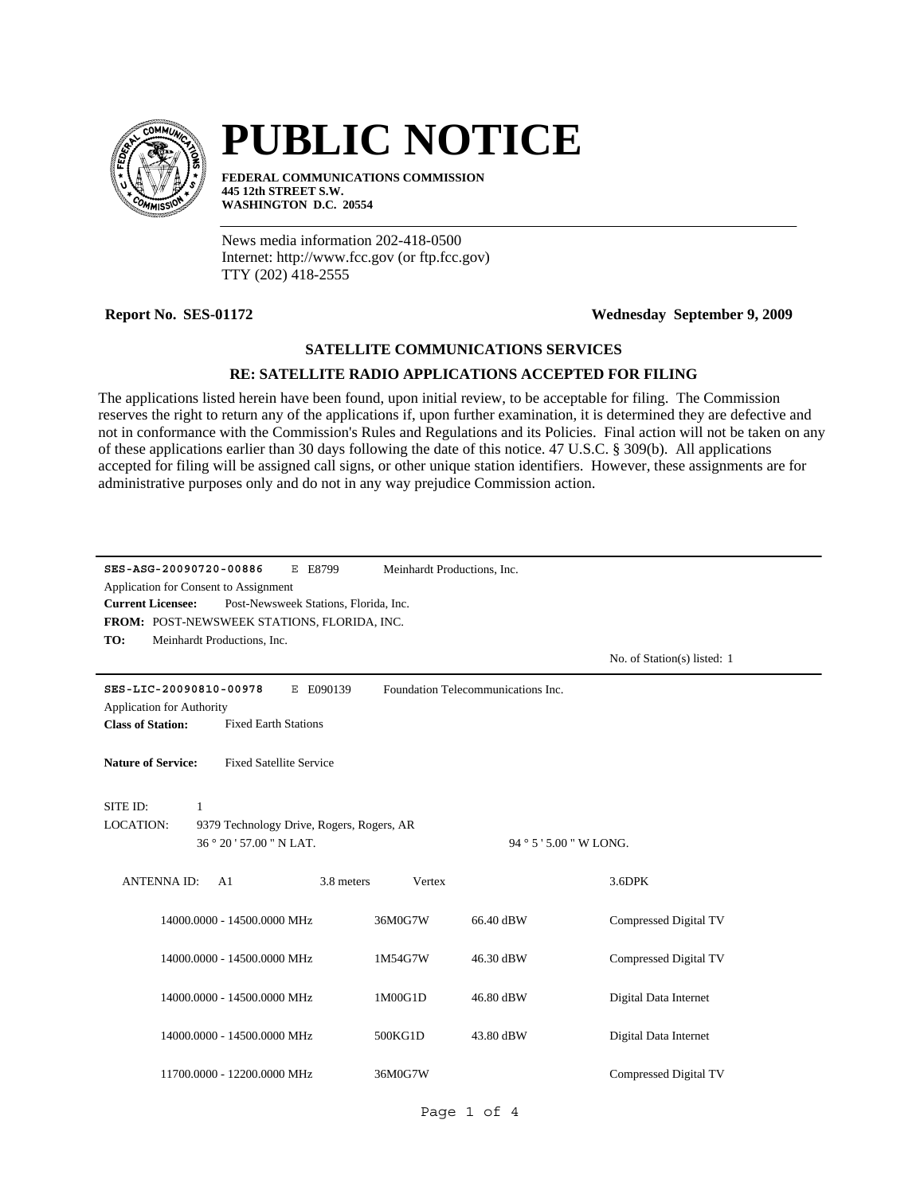

# **PUBLIC NOTICE**

**FEDERAL COMMUNICATIONS COMMISSION 445 12th STREET S.W. WASHINGTON D.C. 20554**

News media information 202-418-0500 Internet: http://www.fcc.gov (or ftp.fcc.gov) TTY (202) 418-2555

## **Report No. SES-01172 Wednesday September 9, 2009**

## **SATELLITE COMMUNICATIONS SERVICES**

## **RE: SATELLITE RADIO APPLICATIONS ACCEPTED FOR FILING**

The applications listed herein have been found, upon initial review, to be acceptable for filing. The Commission reserves the right to return any of the applications if, upon further examination, it is determined they are defective and not in conformance with the Commission's Rules and Regulations and its Policies. Final action will not be taken on any of these applications earlier than 30 days following the date of this notice. 47 U.S.C. § 309(b). All applications accepted for filing will be assigned call signs, or other unique station identifiers. However, these assignments are for administrative purposes only and do not in any way prejudice Commission action.

| SES-ASG-20090720-00886                                            | E E8799<br>Meinhardt Productions, Inc. |                                    |                              |  |  |  |  |
|-------------------------------------------------------------------|----------------------------------------|------------------------------------|------------------------------|--|--|--|--|
| Application for Consent to Assignment                             |                                        |                                    |                              |  |  |  |  |
| Post-Newsweek Stations, Florida, Inc.<br><b>Current Licensee:</b> |                                        |                                    |                              |  |  |  |  |
| FROM: POST-NEWSWEEK STATIONS, FLORIDA, INC.                       |                                        |                                    |                              |  |  |  |  |
| TO:<br>Meinhardt Productions, Inc.                                |                                        |                                    |                              |  |  |  |  |
|                                                                   |                                        |                                    | No. of Station(s) listed: 1  |  |  |  |  |
| SES-LIC-20090810-00978                                            | E E090139                              | Foundation Telecommunications Inc. |                              |  |  |  |  |
| <b>Application for Authority</b>                                  |                                        |                                    |                              |  |  |  |  |
| <b>Class of Station:</b><br><b>Fixed Earth Stations</b>           |                                        |                                    |                              |  |  |  |  |
| <b>Nature of Service:</b><br><b>Fixed Satellite Service</b>       |                                        |                                    |                              |  |  |  |  |
| SITE ID:<br>$\mathbf{1}$                                          |                                        |                                    |                              |  |  |  |  |
| <b>LOCATION:</b><br>9379 Technology Drive, Rogers, Rogers, AR     |                                        |                                    |                              |  |  |  |  |
| 36 ° 20 ' 57.00 " N LAT.                                          |                                        | 94 ° 5 ' 5.00 " W LONG.            |                              |  |  |  |  |
|                                                                   |                                        |                                    |                              |  |  |  |  |
| <b>ANTENNAID:</b><br>A <sub>1</sub>                               | 3.8 meters<br>Vertex                   |                                    | 3.6DPK                       |  |  |  |  |
| 14000.0000 - 14500.0000 MHz                                       | 36M0G7W                                | 66.40 dBW                          | <b>Compressed Digital TV</b> |  |  |  |  |
| 14000.0000 - 14500.0000 MHz                                       | 1M54G7W                                | 46.30 dBW                          | Compressed Digital TV        |  |  |  |  |
| 14000.0000 - 14500.0000 MHz                                       | 1M00G1D                                | 46.80 dBW                          | Digital Data Internet        |  |  |  |  |
| 14000.0000 - 14500.0000 MHz                                       | 500KG1D                                | 43.80 dBW                          | Digital Data Internet        |  |  |  |  |
| 11700.0000 - 12200.0000 MHz                                       | 36M0G7W                                |                                    | Compressed Digital TV        |  |  |  |  |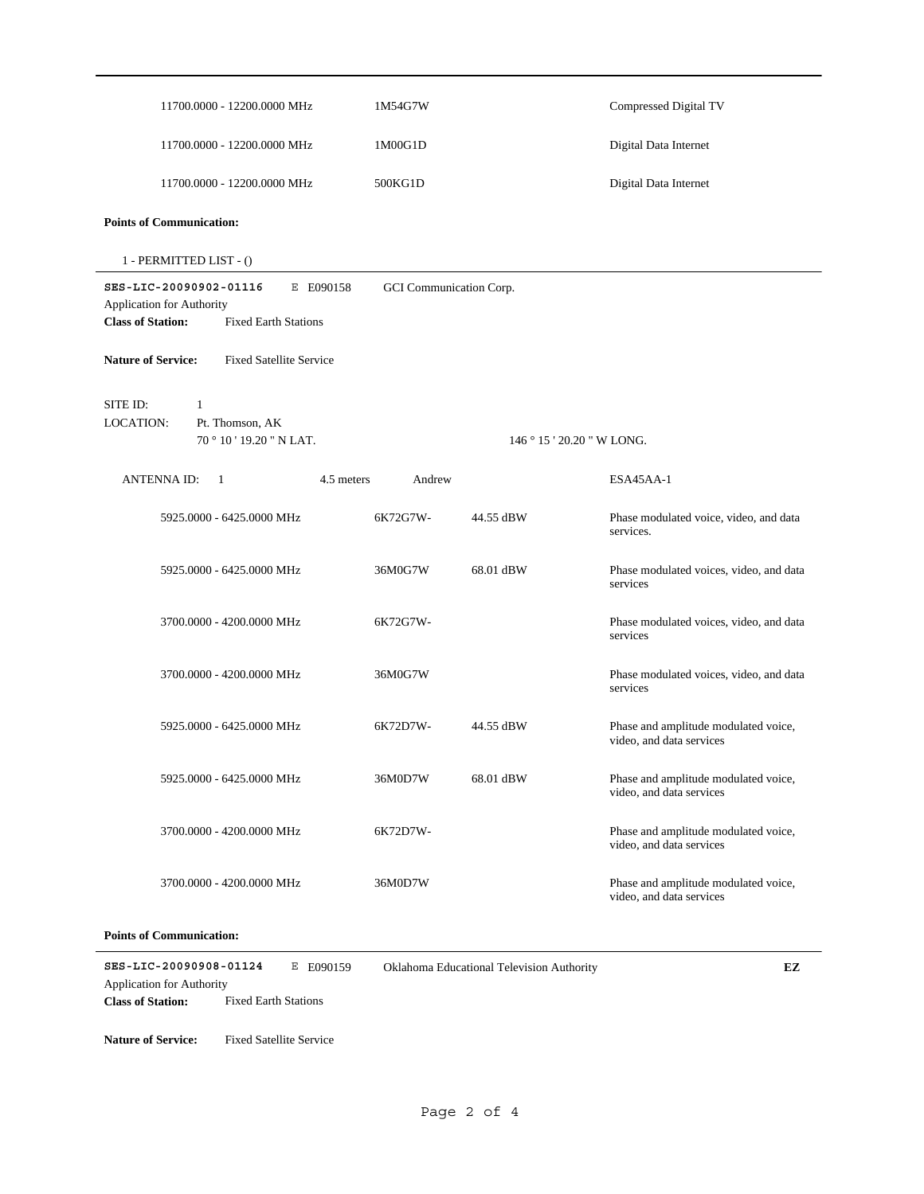| 11700.0000 - 12200.0000 MHz                                                                                                                            | 1M54G7W  |                          | Compressed Digital TV                                            |  |  |
|--------------------------------------------------------------------------------------------------------------------------------------------------------|----------|--------------------------|------------------------------------------------------------------|--|--|
| 11700.0000 - 12200.0000 MHz                                                                                                                            | 1M00G1D  |                          | Digital Data Internet                                            |  |  |
| 11700.0000 - 12200.0000 MHz                                                                                                                            | 500KG1D  |                          | Digital Data Internet                                            |  |  |
| <b>Points of Communication:</b>                                                                                                                        |          |                          |                                                                  |  |  |
| 1 - PERMITTED LIST - ()                                                                                                                                |          |                          |                                                                  |  |  |
| SES-LIC-20090902-01116<br>E E090158<br>GCI Communication Corp.<br>Application for Authority<br><b>Class of Station:</b><br><b>Fixed Earth Stations</b> |          |                          |                                                                  |  |  |
| <b>Nature of Service:</b><br><b>Fixed Satellite Service</b>                                                                                            |          |                          |                                                                  |  |  |
| SITE ID:<br>1<br>LOCATION:<br>Pt. Thomson, AK<br>70°10'19.20" N LAT.                                                                                   |          | $146°15'20.20''$ W LONG. |                                                                  |  |  |
| <b>ANTENNA ID:</b><br>-1<br>4.5 meters                                                                                                                 | Andrew   |                          | ESA45AA-1                                                        |  |  |
| 5925.0000 - 6425.0000 MHz                                                                                                                              | 6K72G7W- | 44.55 dBW                | Phase modulated voice, video, and data<br>services.              |  |  |
| 5925.0000 - 6425.0000 MHz                                                                                                                              | 36M0G7W  | 68.01 dBW                | Phase modulated voices, video, and data<br>services              |  |  |
| 3700.0000 - 4200.0000 MHz                                                                                                                              | 6K72G7W- |                          | Phase modulated voices, video, and data<br>services              |  |  |
| 3700.0000 - 4200.0000 MHz                                                                                                                              | 36M0G7W  |                          | Phase modulated voices, video, and data<br>services              |  |  |
| 5925.0000 - 6425.0000 MHz                                                                                                                              | 6K72D7W- | 44.55 dBW                | Phase and amplitude modulated voice,<br>video, and data services |  |  |
| 5925.0000 - 6425.0000 MHz                                                                                                                              | 36M0D7W  | 68.01 dBW                | Phase and amplitude modulated voice,<br>video, and data services |  |  |
| 3700.0000 - 4200.0000 MHz                                                                                                                              | 6K72D7W- |                          | Phase and amplitude modulated voice,<br>video, and data services |  |  |
| 3700.0000 - 4200.0000 MHz                                                                                                                              | 36M0D7W  |                          | Phase and amplitude modulated voice,<br>video, and data services |  |  |
|                                                                                                                                                        |          |                          |                                                                  |  |  |

#### **Points of Communication:**

**SES-LIC-20090908-01124** E E090159 **Class of Station:** Fixed Earth Stations Application for Authority Oklahoma Educational Television Authority **EZ**

**Nature of Service:** Fixed Satellite Service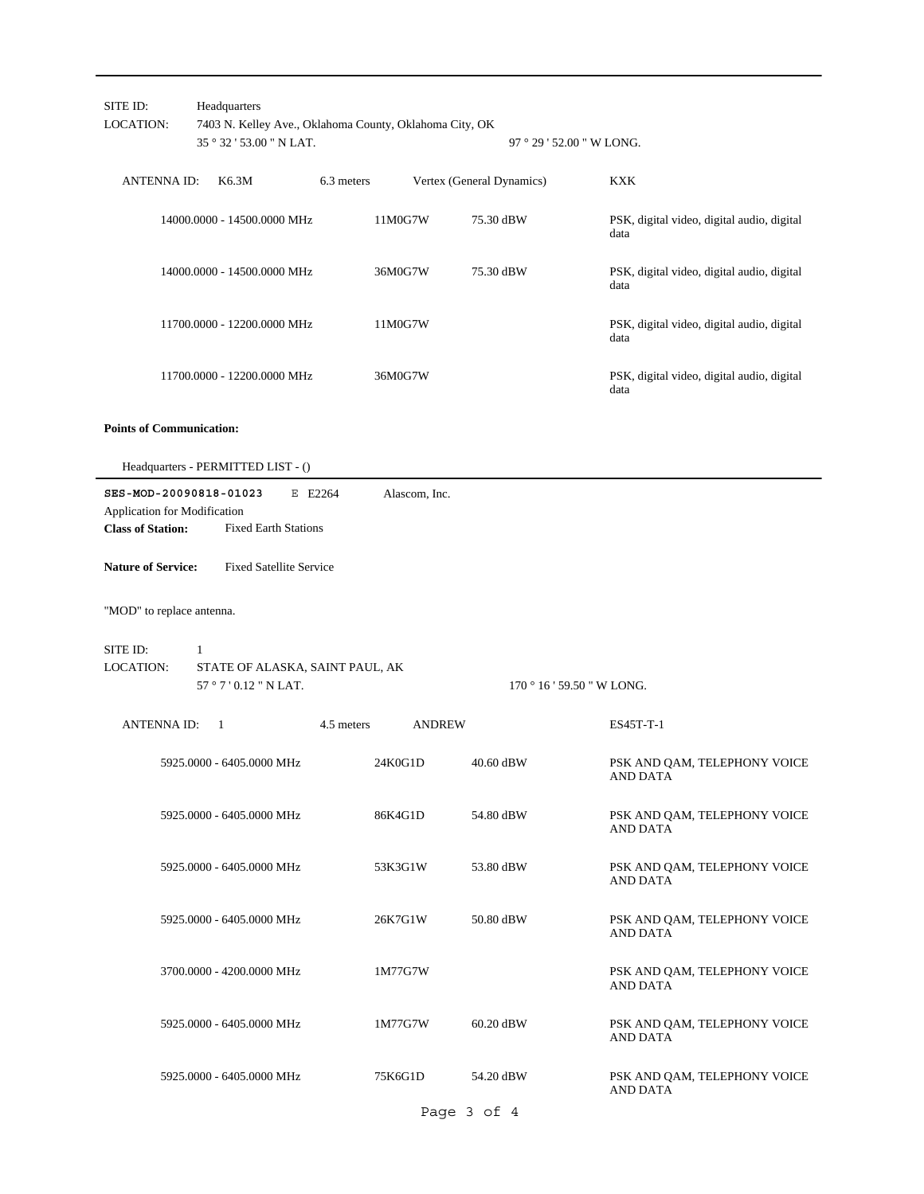| SITE ID:<br><b>LOCATION:</b>                                                       | Headquarters<br>35 ° 32 ' 53.00 " N LAT.                                  | 7403 N. Kelley Ave., Oklahoma County, Oklahoma City, OK<br>97 ° 29 ' 52.00 " W LONG. |                           |                                                    |  |
|------------------------------------------------------------------------------------|---------------------------------------------------------------------------|--------------------------------------------------------------------------------------|---------------------------|----------------------------------------------------|--|
| <b>ANTENNAID:</b>                                                                  | K6.3M                                                                     | 6.3 meters                                                                           | Vertex (General Dynamics) | KXK                                                |  |
|                                                                                    | 14000.0000 - 14500.0000 MHz                                               | 11M0G7W                                                                              | 75.30 dBW                 | PSK, digital video, digital audio, digital<br>data |  |
|                                                                                    | 14000.0000 - 14500.0000 MHz                                               | 36M0G7W                                                                              | 75.30 dBW                 | PSK, digital video, digital audio, digital<br>data |  |
|                                                                                    | 11700.0000 - 12200.0000 MHz                                               | 11M0G7W                                                                              |                           | PSK, digital video, digital audio, digital<br>data |  |
|                                                                                    | 11700.0000 - 12200.0000 MHz                                               | 36M0G7W                                                                              |                           | PSK, digital video, digital audio, digital<br>data |  |
| <b>Points of Communication:</b>                                                    |                                                                           |                                                                                      |                           |                                                    |  |
|                                                                                    | Headquarters - PERMITTED LIST - ()                                        |                                                                                      |                           |                                                    |  |
| SES-MOD-20090818-01023<br>Application for Modification<br><b>Class of Station:</b> | E E2264<br><b>Fixed Earth Stations</b>                                    | Alascom, Inc.                                                                        |                           |                                                    |  |
| <b>Nature of Service:</b>                                                          | <b>Fixed Satellite Service</b>                                            |                                                                                      |                           |                                                    |  |
| "MOD" to replace antenna.                                                          |                                                                           |                                                                                      |                           |                                                    |  |
| SITE ID:<br><b>LOCATION:</b>                                                       | $\mathbf{1}$<br>STATE OF ALASKA, SAINT PAUL, AK<br>57 ° 7 ' 0.12 " N LAT. |                                                                                      |                           | $170°16'59.50"$ W LONG.                            |  |
| <b>ANTENNA ID:</b>                                                                 | -1                                                                        | 4.5 meters<br><b>ANDREW</b>                                                          |                           | ES45T-T-1                                          |  |
|                                                                                    | 5925.0000 - 6405.0000 MHz                                                 | 24K0G1D                                                                              | 40.60 dBW                 | PSK AND QAM, TELEPHONY VOICE<br>AND DATA           |  |
|                                                                                    | 5925.0000 - 6405.0000 MHz                                                 | 86K4G1D                                                                              | 54.80 dBW                 | PSK AND QAM, TELEPHONY VOICE<br><b>AND DATA</b>    |  |
|                                                                                    | 5925.0000 - 6405.0000 MHz                                                 | 53K3G1W                                                                              | 53.80 dBW                 | PSK AND QAM, TELEPHONY VOICE<br><b>AND DATA</b>    |  |
|                                                                                    | 5925.0000 - 6405.0000 MHz                                                 | 26K7G1W                                                                              | 50.80 dBW                 | PSK AND QAM, TELEPHONY VOICE<br><b>AND DATA</b>    |  |
|                                                                                    | 3700.0000 - 4200.0000 MHz                                                 | 1M77G7W                                                                              |                           | PSK AND QAM, TELEPHONY VOICE<br>AND DATA           |  |
|                                                                                    | 5925.0000 - 6405.0000 MHz                                                 | 1M77G7W                                                                              | 60.20 dBW                 | PSK AND QAM, TELEPHONY VOICE<br><b>AND DATA</b>    |  |
|                                                                                    | 5925.0000 - 6405.0000 MHz                                                 | 75K6G1D                                                                              | 54.20 dBW                 | PSK AND QAM, TELEPHONY VOICE<br><b>AND DATA</b>    |  |

Page 3 of 4